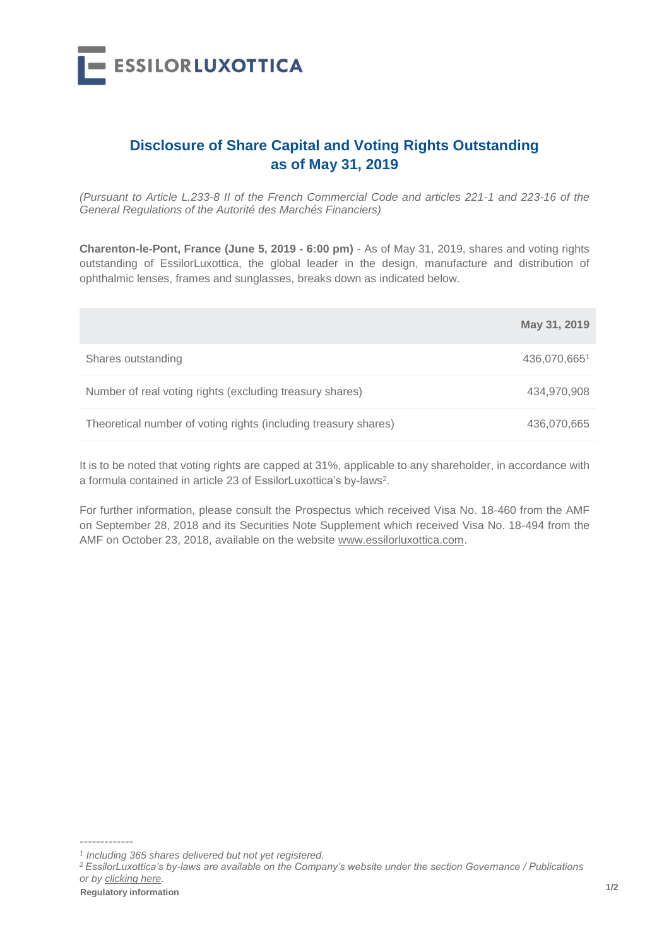

## **Disclosure of Share Capital and Voting Rights Outstanding as of May 31, 2019**

*(Pursuant to Article L.233-8 II of the French Commercial Code and articles 221-1 and 223-16 of the General Regulations of the Autorité des Marchés Financiers)*

**Charenton-le-Pont, France (June 5, 2019 - 6:00 pm)** - As of May 31, 2019, shares and voting rights outstanding of EssilorLuxottica, the global leader in the design, manufacture and distribution of ophthalmic lenses, frames and sunglasses, breaks down as indicated below.

|                                                                 | May 31, 2019 |
|-----------------------------------------------------------------|--------------|
| Shares outstanding                                              | 436,070,6651 |
| Number of real voting rights (excluding treasury shares)        | 434,970,908  |
| Theoretical number of voting rights (including treasury shares) | 436,070,665  |

It is to be noted that voting rights are capped at 31%, applicable to any shareholder, in accordance with a formula contained in article 23 of EssilorLuxottica's by-laws<sup>2</sup>.

For further information, please consult the Prospectus which received Visa No. 18-460 from the AMF on September 28, 2018 and its Securities Note Supplement which received Visa No. 18-494 from the AMF on October 23, 2018, available on the website www.essilorluxottica.com.

-------------

*<sup>1</sup> Including 365 shares delivered but not yet registered.*

*<sup>2</sup> EssilorLuxottica's by-laws are available on the Company's website under the section Governance / Publications or by [clicking here.](https://www.essilorluxottica.com/publications)*